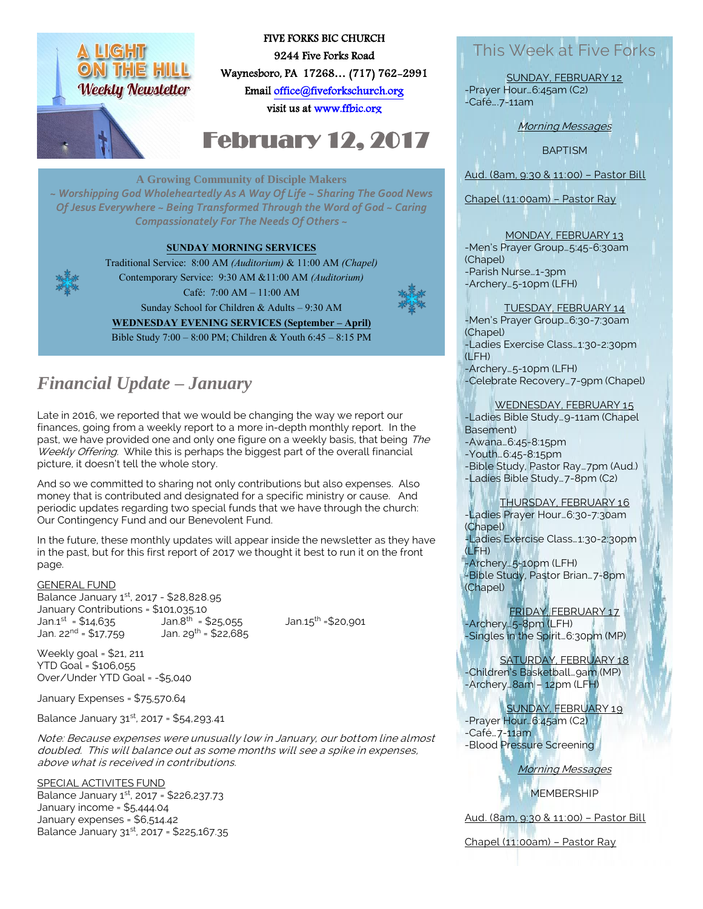

### FIVE FORKS BIC CHURCH 9244 Five Forks Road Waynesboro, PA 17268… (717) 762-2991 Emai[l office@fiveforkschurch.org](mailto:office@fiveforkschurch.org)

visit us a[t www.ffbic.org](http://www.ffbic.org/) 

# February 12, 2017

#### **A Growing Community of Disciple Makers**

*~ Worshipping God Wholeheartedly As A Way Of Life ~ Sharing The Good News Of Jesus Everywhere ~ Being Transformed Through the Word of God ~ Caring Compassionately For The Needs Of Others ~*

#### **SUNDAY MORNING SERVICES**



Traditional Service: 8:00 AM *(Auditorium)* & 11:00 AM *(Chapel)* Contemporary Service: 9:30 AM &11:00 AM *(Auditorium)* Café: 7:00 AM – 11:00 AM Sunday School for Children & Adults – 9:30 AM **WEDNESDAY EVENING SERVICES (September – April)** Bible Study 7:00 – 8:00 PM; Children & Youth 6:45 – 8:15 PM



# This Week at Five Forks

SUNDAY, FEBRUARY 12 -Prayer Hour…6:45am (C2) -Café….7-11am

Morning Messages

**BAPTISM** 

Aud. (8am, 9:30 & 11:00) – Pastor Bill

Chapel (11:00am) – Pastor Ray

## MONDAY, FEBRUARY 13

-Men's Prayer Group…5:45-6:30am (Chapel) -Parish Nurse…1-3pm -Archery…5-10pm (LFH)

### TUESDAY, FEBRUARY 14 -Men's Prayer Group…6:30-7:30am

(Chapel) -Ladies Exercise Class…1:30-2:30pm (LFH) -Archery…5-10pm (LFH)

-Celebrate Recovery…7-9pm (Chapel)

### WEDNESDAY, FEBRUARY 15

-Ladies Bible Study…9-11am (Chapel Basement)

-Awana…6:45-8:15pm -Youth…6:45-8:15pm

-Bible Study, Pastor Ray…7pm (Aud.) -Ladies Bible Study…7-8pm (C2)

#### THURSDAY, FEBRUARY 16

-Ladies Prayer Hour…6:30-7:30am (Chapel) -Ladies Exercise Class…1:30-2:30pm

-Archery…5-10pm (LFH) -Bible Study, Pastor Brian…7-8pm (Chapel)

FRIDAY, FEBRUARY 17 -Archery…5-8pm (LFH) -Singles in the Spirit…6:30pm (MP)

SATURDAY, FEBRUARY 18 -Children's Basketball…9am (MP) -Archery…8am – 12pm (LFH)

#### SUNDAY, FEBRUARY 19

-Prayer Hour…6:45am (C2) -Café…7-11am -Blood Pressure Screening

Morning Messages

**MEMBERSHIP** 

Aud. (8am, 9:30 & 11:00) – Pastor Bill

Chapel (11:00am) – Pastor Ray

# *Financial Update – January*

Late in 2016, we reported that we would be changing the way we report our finances, going from a weekly report to a more in-depth monthly report. In the past, we have provided one and only one figure on a weekly basis, that being The Weekly Offering. While this is perhaps the biggest part of the overall financial picture, it doesn't tell the whole story.

And so we committed to sharing not only contributions but also expenses. Also money that is contributed and designated for a specific ministry or cause. And periodic updates regarding two special funds that we have through the church: Our Contingency Fund and our Benevolent Fund.

In the future, these monthly updates will appear inside the newsletter as they have in the past, but for this first report of 2017 we thought it best to run it on the front page.

#### GENERAL FUND

Balance January  $1^{st}$ , 2017 - \$28,828.95 January Contributions =  $$101,035.10$ <br>Jan.1<sup>st</sup> =  $$14,635$  Jan.8<sup>th</sup> =  $$25,055$ Jan.1<sup>st</sup> = \$14,635 Jan.8<sup>th</sup> Jan. 22<sup>nd</sup> =  $$17.759$  Jan. 29<sup>th</sup> =  $$22.685$ 

Jan. $15^{th}$  = \$20,901

Weekly goal = \$21, 211 YTD Goal = \$106,055 Over/Under YTD Goal = -\$5,040

January Expenses = \$75,570.64

Balance January 31st, 2017 = \$54,293.41

Note: Because expenses were unusually low in January, our bottom line almost doubled. This will balance out as some months will see a spike in expenses, above what is received in contributions.

SPECIAL ACTIVITES FUND

Balance January 1st, 2017 = \$226,237.73 January income = \$5,444.04 January expenses = \$6,514.42 Balance January 31st, 2017 = \$225,167.35

(LFH)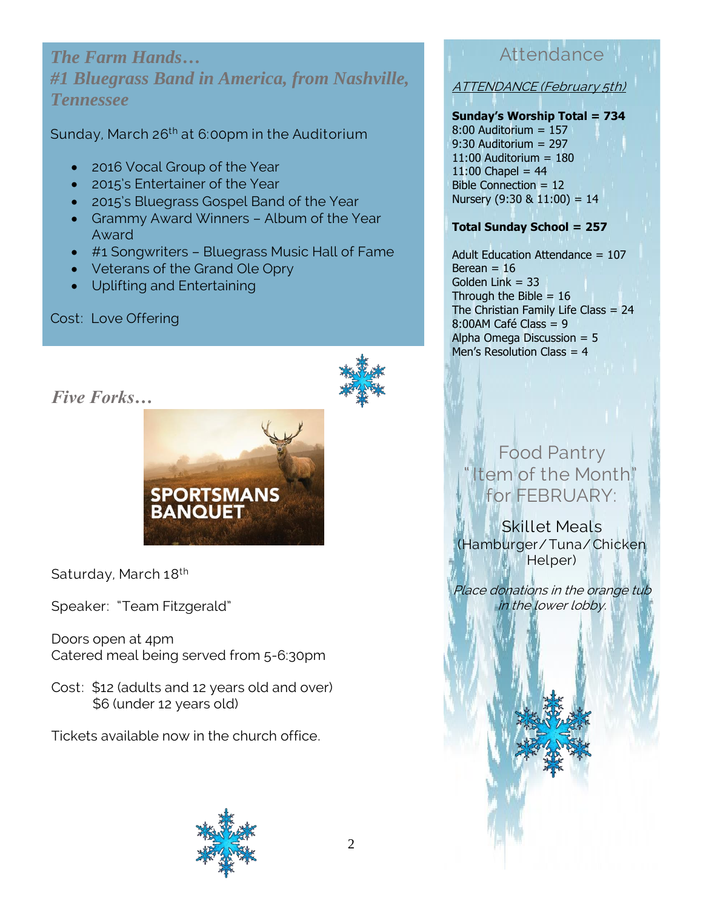*The Farm Hands… #1 Bluegrass Band in America, from Nashville, Tennessee*

Sunday, March 26<sup>th</sup> at 6:00pm in the Auditorium

- 2016 Vocal Group of the Year
- 2015's Entertainer of the Year
- 2015's Bluegrass Gospel Band of the Year
- Grammy Award Winners Album of the Year Award
- #1 Songwriters Bluegrass Music Hall of Fame
- Veterans of the Grand Ole Opry
- Uplifting and Entertaining

## Cost: Love Offering





Saturday, March 18<sup>th</sup>

Speaker: "Team Fitzgerald"

Doors open at 4pm Catered meal being served from 5-6:30pm

**SPORTSMANS**<br>BANQUET

Cost: \$12 (adults and 12 years old and over) \$6 (under 12 years old)

Tickets available now in the church office.



# Attendance<sup>III</sup>

ATTENDANCE (February 5th)

### **Sunday's Worship Total = 734**

8:00 Auditorium = 157 9:30 Auditorium = 297  $11:00$  Auditorium =  $180$  $11:00$  Chapel = 44 Bible Connection = 12 Nursery  $(9:30 \& 11:00) = 14$ 

### **Total Sunday School = 257**

Adult Education Attendance = 107 Berean  $= 16$ Golden Link  $= 33$ Through the Bible  $= 16$ The Christian Family Life Class = 24 8:00AM Café Class = 9 Alpha Omega Discussion = 5 Men's Resolution Class = 4

# Food Pantry tem of the Month" for FEBRUARY:

Skillet Meals (Hamburger/Tuna/ Chicken Helper)

Place donations in the orange tub in the lower lobby.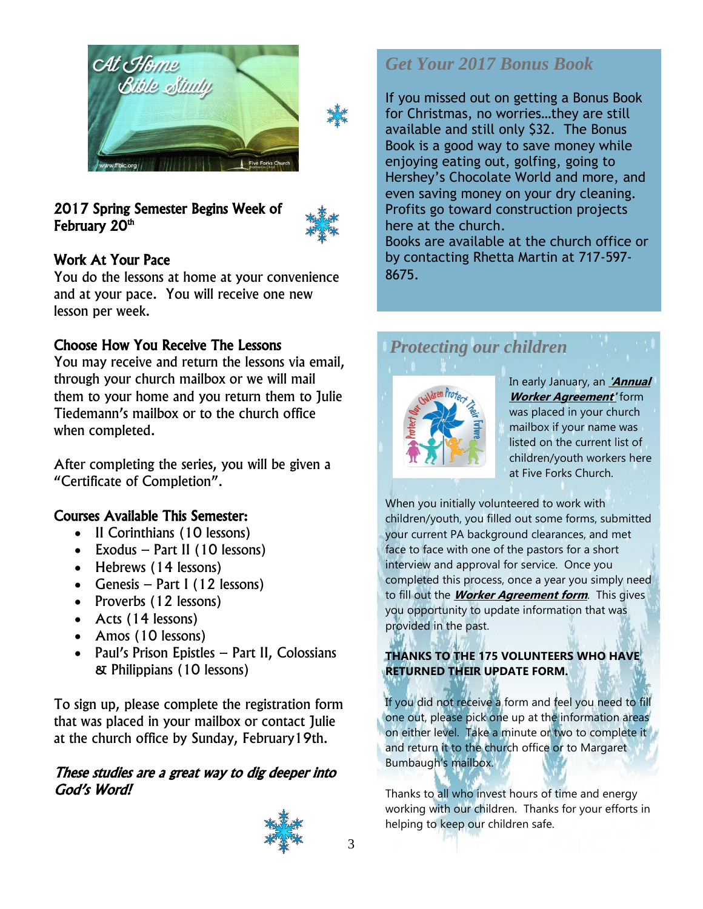



## 2017 Spring Semester Begins Week of February 20<sup>th</sup>



## Work At Your Pace

You do the lessons at home at your convenience and at your pace. You will receive one new lesson per week.

### Choose How You Receive The Lessons

You may receive and return the lessons via email, through your church mailbox or we will mail them to your home and you return them to Julie Tiedemann's mailbox or to the church office when completed.

After completing the series, you will be given a "Certificate of Completion".

### Courses Available This Semester:

- Il Corinthians (10 lessons)
- $\bullet$  Exodus Part II (10 lessons)
- Hebrews (14 lessons)
- Genesis Part I (12 lessons)
- Proverbs (12 lessons)
- Acts (14 lessons)
- Amos (10 lessons)
- Paul's Prison Epistles Part II, Colossians & Philippians (10 lessons)

To sign up, please complete the registration form that was placed in your mailbox or contact Julie at the church office by Sunday, February19th.

### These studies are a great way to dig deeper into God's Word!



## *Get Your 2017 Bonus Book*

If you missed out on getting a Bonus Book for Christmas, no worries…they are still available and still only \$32. The Bonus Book is a good way to save money while enjoying eating out, golfing, going to Hershey's Chocolate World and more, and even saving money on your dry cleaning. Profits go toward construction projects here at the church.

Books are available at the church office or by contacting Rhetta Martin at 717-597- 8675.

# *Protecting our children*



In early January, an **'Annual Worker Agreement'** form was placed in your church mailbox if your name was listed on the current list of children/youth workers here at Five Forks Church.

When you initially volunteered to work with children/youth, you filled out some forms, submitted your current PA background clearances, and met face to face with one of the pastors for a short interview and approval for service. Once you completed this process, once a year you simply need to fill out the **Worker Agreement form**. This gives you opportunity to update information that was provided in the past.

### **THANKS TO THE 175 VOLUNTEERS WHO HAVE RETURNED THEIR UPDATE FORM.**

If you did not receive a form and feel you need to fill one out, please pick one up at the information areas on either level. Take a minute or two to complete it and return it to the church office or to Margaret Bumbaugh's mailbox.

Thanks to all who invest hours of time and energy working with our children. Thanks for your efforts in helping to keep our children safe.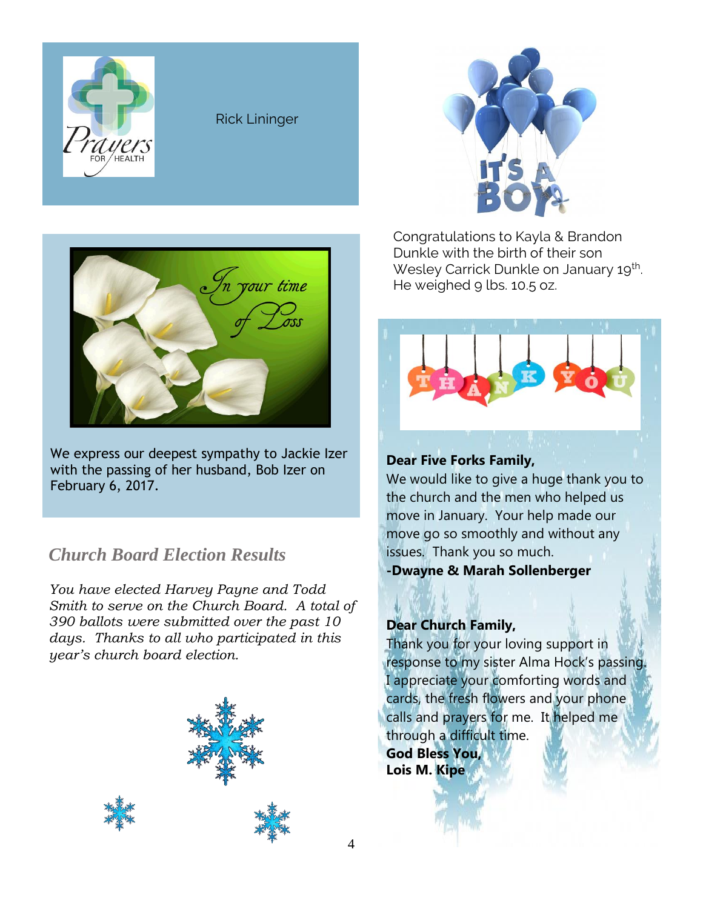

### Rick Lininger



Congratulations to Kayla & Brandon Dunkle with the birth of their son Wesley Carrick Dunkle on January 19<sup>th</sup>. He weighed 9 lbs. 10.5 oz.



## **Dear Five Forks Family,**

We would like to give a huge thank you to the church and the men who helped us move in January. Your help made our move go so smoothly and without any issues. Thank you so much. **-Dwayne & Marah Sollenberger**

### **Dear Church Family,**

Thank you for your loving support in response to my sister Alma Hock's passing. I appreciate your comforting words and cards, the fresh flowers and your phone calls and prayers for me. It helped me through a difficult time. **God Bless You, Lois M. Kipe**



We express our deepest sympathy to Jackie Izer with the passing of her husband, Bob Izer on February 6, 2017.

## *Church Board Election Results*

*You have elected Harvey Payne and Todd Smith to serve on the Church Board. A total of 390 ballots were submitted over the past 10 days. Thanks to all who participated in this year's church board election.*



4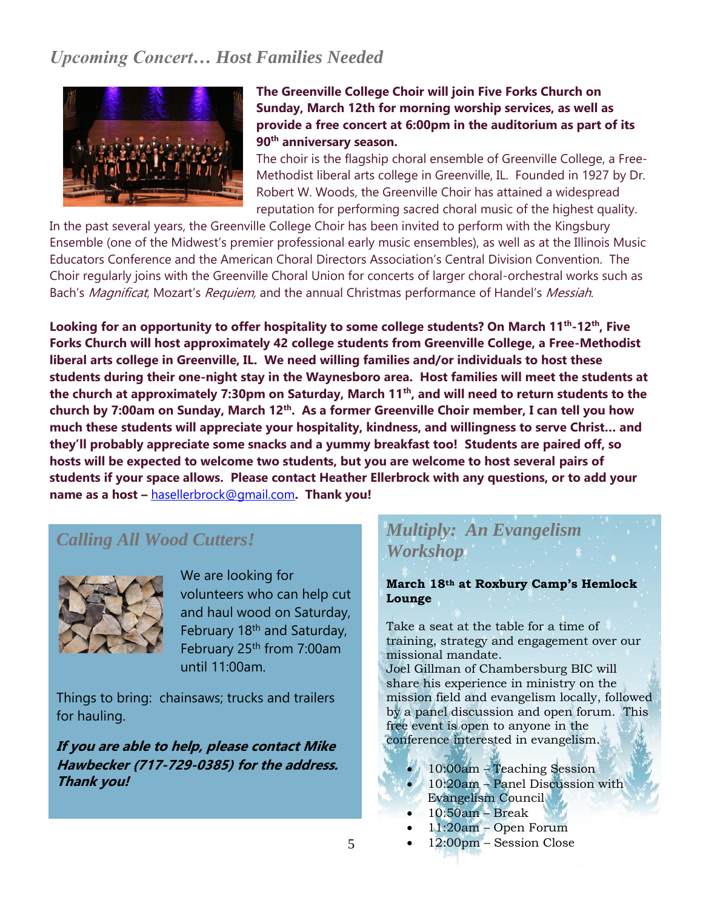# *Upcoming Concert… Host Families Needed*



### **The Greenville College Choir will join Five Forks Church on Sunday, March 12th for morning worship services, as well as provide a free concert at 6:00pm in the auditorium as part of its 90th anniversary season.**

The choir is the flagship choral ensemble of Greenville College, a Free-Methodist liberal arts college in Greenville, IL. Founded in 1927 by Dr. Robert W. Woods, the Greenville Choir has attained a widespread reputation for performing sacred choral music of the highest quality.

In the past several years, the Greenville College Choir has been invited to perform with the Kingsbury Ensemble (one of the Midwest's premier professional early music ensembles), as well as at the Illinois Music Educators Conference and the American Choral Directors Association's Central Division Convention. The Choir regularly joins with the Greenville Choral Union for concerts of larger choral-orchestral works such as Bach's Magnificat, Mozart's Requiem, and the annual Christmas performance of Handel's Messiah.

**Looking for an opportunity to offer hospitality to some college students? On March 11th -12th, Five Forks Church will host approximately 42 college students from Greenville College, a Free-Methodist liberal arts college in Greenville, IL. We need willing families and/or individuals to host these students during their one-night stay in the Waynesboro area. Host families will meet the students at the church at approximately 7:30pm on Saturday, March 11th, and will need to return students to the church by 7:00am on Sunday, March 12th . As a former Greenville Choir member, I can tell you how much these students will appreciate your hospitality, kindness, and willingness to serve Christ… and they'll probably appreciate some snacks and a yummy breakfast too! Students are paired off, so hosts will be expected to welcome two students, but you are welcome to host several pairs of students if your space allows. Please contact Heather Ellerbrock with any questions, or to add your name as a host –** [hasellerbrock@gmail.com](mailto:hasellerbrock@gmail.com)**. Thank you!**

## *Calling All Wood Cutters!*



We are looking for volunteers who can help cut and haul wood on Saturday, February 18th and Saturday, February 25th from 7:00am until 11:00am.

Things to bring: chainsaws; trucks and trailers for hauling.

**If you are able to help, please contact Mike Hawbecker (717-729-0385) for the address. Thank you!**

# *Multiply: An Evangelism Workshop*

**March 18th at Roxbury Camp's Hemlock Lounge**

Take a seat at the table for a time of training, strategy and engagement over our missional mandate.

Joel Gillman of Chambersburg BIC will share his experience in ministry on the mission field and evangelism locally, followed by a panel discussion and open forum. This free event is open to anyone in the conference interested in evangelism.

- 10:00am Teaching Session
- 10:20am Panel Discussion with
- Evangelism Council
- 10:50am Break
- 11:20am Open Forum
- 12:00pm Session Close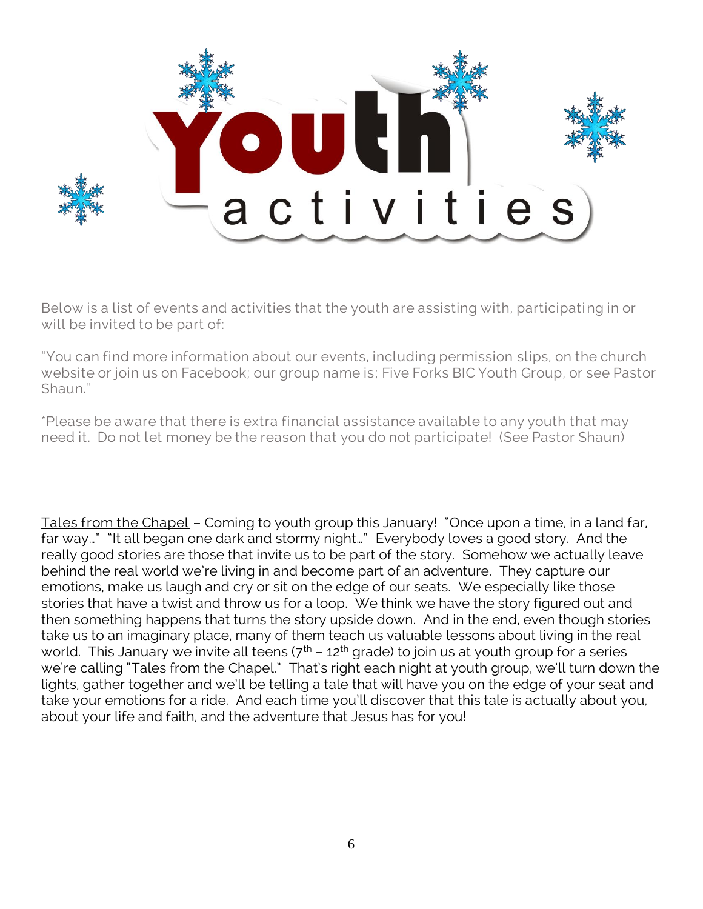

Below is a list of events and activities that the youth are assisting with, participating in or will be invited to be part of:

"You can find more information about our events, including permission slips, on the church website or join us on Facebook; our group name is; Five Forks BIC Youth Group, or see Pastor Shaun."

\*Please be aware that there is extra financial assistance available to any youth that may need it. Do not let money be the reason that you do not participate! (See Pastor Shaun)

Tales from the Chapel – Coming to youth group this January! "Once upon a time, in a land far, far way…" "It all began one dark and stormy night…" Everybody loves a good story. And the really good stories are those that invite us to be part of the story. Somehow we actually leave behind the real world we're living in and become part of an adventure. They capture our emotions, make us laugh and cry or sit on the edge of our seats. We especially like those stories that have a twist and throw us for a loop. We think we have the story figured out and then something happens that turns the story upside down. And in the end, even though stories take us to an imaginary place, many of them teach us valuable lessons about living in the real world. This January we invite all teens  $(7<sup>th</sup> - 12<sup>th</sup>$  grade) to join us at youth group for a series we're calling "Tales from the Chapel." That's right each night at youth group, we'll turn down the lights, gather together and we'll be telling a tale that will have you on the edge of your seat and take your emotions for a ride. And each time you'll discover that this tale is actually about you, about your life and faith, and the adventure that Jesus has for you!